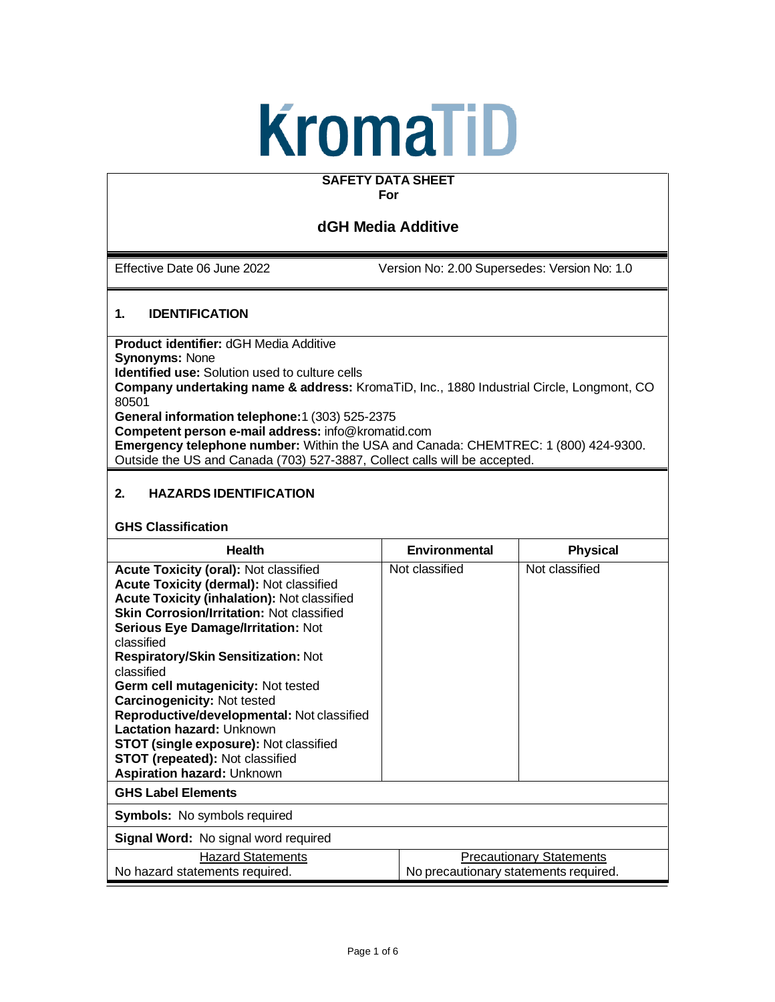# KromaTiD

#### **SAFETY DATA SHEET For**

# **dGH Media Additive**

Effective Date 06 June 2022 Version No: 2.00 Supersedes: Version No: 1.0

# **1. IDENTIFICATION**

**Product identifier:** dGH Media Additive **Synonyms:** None **Identified use:** Solution used to culture cells **Company undertaking name & address:** KromaTiD, Inc., 1880 Industrial Circle, Longmont, CO 80501 **General information telephone:**1 (303) 525-2375 **Competent person e-mail address:** [info@kromatid.com](mailto:info@kromatid.com) **Emergency telephone number:** Within the USA and Canada: CHEMTREC: 1 (800) 424-9300. Outside the US and Canada (703) 527-3887, Collect calls will be accepted.

# **2. HAZARDS IDENTIFICATION**

#### **GHS Classification**

| <b>Health</b>                                                                                                                                                                                                                                                                                                                                                                                                                                                                                                                                                                                                   | Environmental  | <b>Physical</b>                       |  |
|-----------------------------------------------------------------------------------------------------------------------------------------------------------------------------------------------------------------------------------------------------------------------------------------------------------------------------------------------------------------------------------------------------------------------------------------------------------------------------------------------------------------------------------------------------------------------------------------------------------------|----------------|---------------------------------------|--|
| <b>Acute Toxicity (oral): Not classified</b><br>Acute Toxicity (dermal): Not classified<br><b>Acute Toxicity (inhalation): Not classified</b><br><b>Skin Corrosion/Irritation: Not classified</b><br><b>Serious Eye Damage/Irritation: Not</b><br>classified<br><b>Respiratory/Skin Sensitization: Not</b><br>classified<br>Germ cell mutagenicity: Not tested<br><b>Carcinogenicity: Not tested</b><br>Reproductive/developmental: Not classified<br>Lactation hazard: Unknown<br><b>STOT (single exposure): Not classified</b><br><b>STOT (repeated): Not classified</b><br><b>Aspiration hazard: Unknown</b> | Not classified | Not classified                        |  |
| <b>GHS Label Elements</b>                                                                                                                                                                                                                                                                                                                                                                                                                                                                                                                                                                                       |                |                                       |  |
| <b>Symbols:</b> No symbols required                                                                                                                                                                                                                                                                                                                                                                                                                                                                                                                                                                             |                |                                       |  |
| Signal Word: No signal word required                                                                                                                                                                                                                                                                                                                                                                                                                                                                                                                                                                            |                |                                       |  |
| <b>Hazard Statements</b>                                                                                                                                                                                                                                                                                                                                                                                                                                                                                                                                                                                        |                | <b>Precautionary Statements</b>       |  |
| No hazard statements required.                                                                                                                                                                                                                                                                                                                                                                                                                                                                                                                                                                                  |                | No precautionary statements required. |  |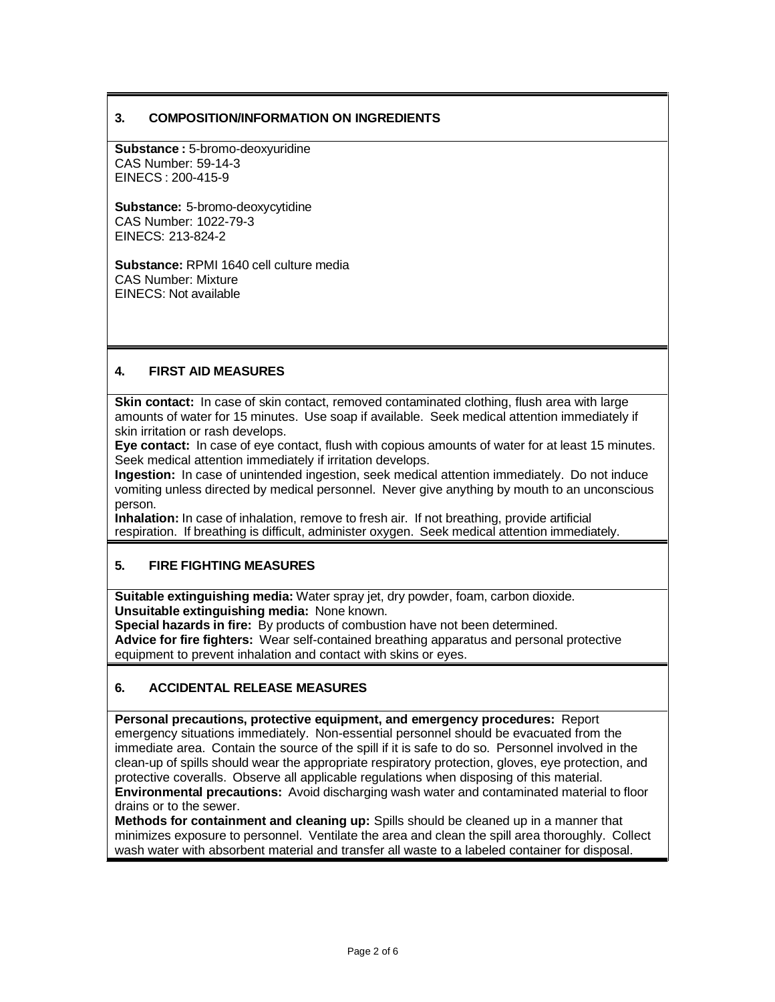## **3. COMPOSITION/INFORMATION ON INGREDIENTS**

**Substance :** 5-bromo-deoxyuridine CAS Number: 59-14-3 EINECS : 200-415-9

**Substance:** 5-bromo-deoxycytidine CAS Number: 1022-79-3 EINECS: 213-824-2

**Substance:** RPMI 1640 cell culture media CAS Number: Mixture EINECS: Not available

# **4. FIRST AID MEASURES**

**Skin contact:** In case of skin contact, removed contaminated clothing, flush area with large amounts of water for 15 minutes. Use soap if available. Seek medical attention immediately if skin irritation or rash develops.

**Eye contact:** In case of eye contact, flush with copious amounts of water for at least 15 minutes. Seek medical attention immediately if irritation develops.

**Ingestion:** In case of unintended ingestion, seek medical attention immediately. Do not induce vomiting unless directed by medical personnel. Never give anything by mouth to an unconscious person.

**Inhalation:** In case of inhalation, remove to fresh air. If not breathing, provide artificial respiration. If breathing is difficult, administer oxygen. Seek medical attention immediately.

#### **5. FIRE FIGHTING MEASURES**

**Suitable extinguishing media:** Water spray jet, dry powder, foam, carbon dioxide. **Unsuitable extinguishing media:** None known.

**Special hazards in fire:** By products of combustion have not been determined. **Advice for fire fighters:** Wear self-contained breathing apparatus and personal protective equipment to prevent inhalation and contact with skins or eyes.

#### **6. ACCIDENTAL RELEASE MEASURES**

**Personal precautions, protective equipment, and emergency procedures:** Report emergency situations immediately. Non-essential personnel should be evacuated from the immediate area. Contain the source of the spill if it is safe to do so. Personnel involved in the clean-up of spills should wear the appropriate respiratory protection, gloves, eye protection, and protective coveralls. Observe all applicable regulations when disposing of this material. **Environmental precautions:** Avoid discharging wash water and contaminated material to floor drains or to the sewer.

**Methods for containment and cleaning up:** Spills should be cleaned up in a manner that minimizes exposure to personnel. Ventilate the area and clean the spill area thoroughly. Collect wash water with absorbent material and transfer all waste to a labeled container for disposal.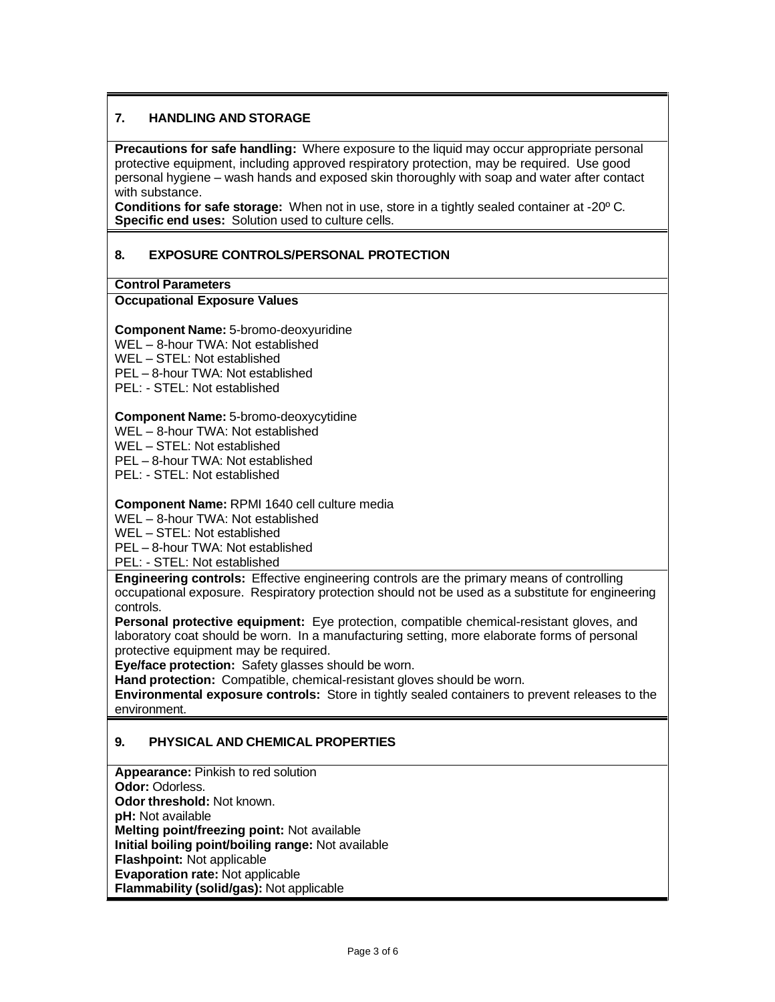# **7. HANDLING AND STORAGE**

**Precautions for safe handling:** Where exposure to the liquid may occur appropriate personal protective equipment, including approved respiratory protection, may be required. Use good personal hygiene – wash hands and exposed skin thoroughly with soap and water after contact with substance.

**Conditions for safe storage:** When not in use, store in a tightly sealed container at -20º C. **Specific end uses:** Solution used to culture cells.

# **8. EXPOSURE CONTROLS/PERSONAL PROTECTION**

**Control Parameters**

#### **Occupational Exposure Values**

#### **Component Name:** 5-bromo-deoxyuridine

WEL – 8-hour TWA: Not established

WEL – STEL: Not established

PEL – 8-hour TWA: Not established

PEL: - STEL: Not established

#### **Component Name:** 5-bromo-deoxycytidine

WEL – 8-hour TWA: Not established

WEL – STEL: Not established

PEL – 8-hour TWA: Not established

PEL: - STEL: Not established

#### **Component Name:** RPMI 1640 cell culture media

WEL – 8-hour TWA: Not established

WEL – STEL: Not established

PEL – 8-hour TWA: Not established

PEL: - STEL: Not established

**Engineering controls:** Effective engineering controls are the primary means of controlling occupational exposure. Respiratory protection should not be used as a substitute for engineering controls.

**Personal protective equipment:** Eye protection, compatible chemical-resistant gloves, and laboratory coat should be worn. In a manufacturing setting, more elaborate forms of personal protective equipment may be required.

**Eye/face protection:** Safety glasses should be worn.

**Hand protection:** Compatible, chemical-resistant gloves should be worn.

**Environmental exposure controls:** Store in tightly sealed containers to prevent releases to the environment.

#### **9. PHYSICAL AND CHEMICAL PROPERTIES**

**Appearance:** Pinkish to red solution **Odor:** Odorless. **Odor threshold:** Not known. **pH:** Not available **Melting point/freezing point:** Not available **Initial boiling point/boiling range:** Not available **Flashpoint:** Not applicable **Evaporation rate:** Not applicable **Flammability (solid/gas):** Not applicable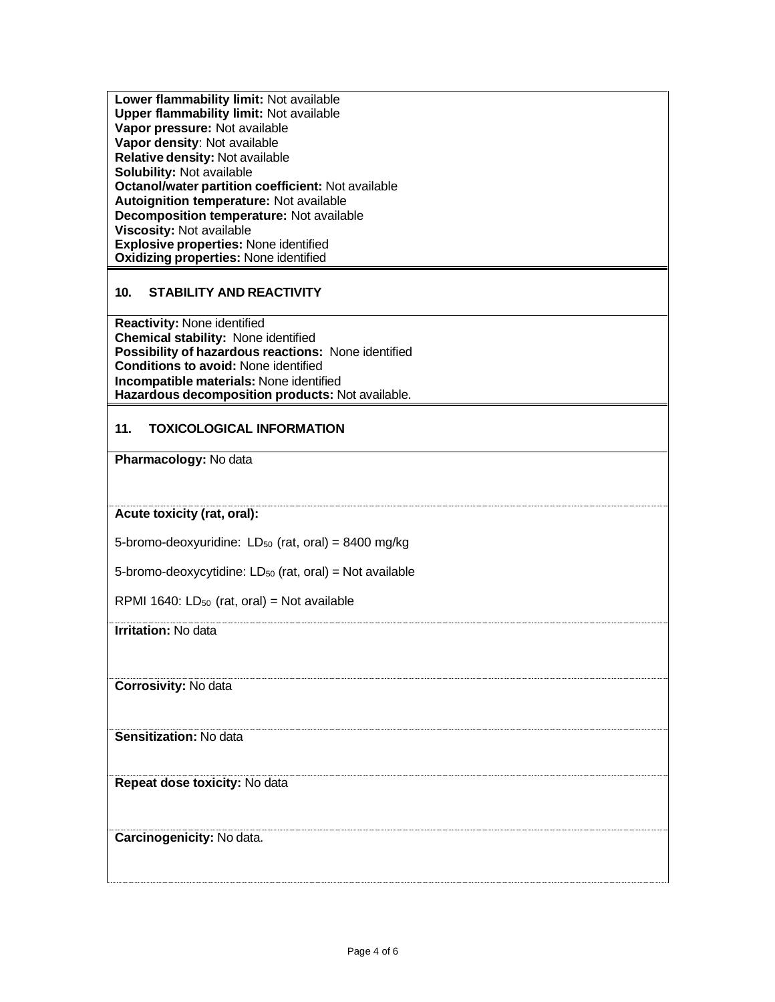**Lower flammability limit:** Not available **Upper flammability limit:** Not available **Vapor pressure:** Not available **Vapor density**: Not available **Relative density:** Not available **Solubility:** Not available **Octanol/water partition coefficient:** Not available **Autoignition temperature:** Not available **Decomposition temperature:** Not available **Viscosity:** Not available **Explosive properties:** None identified **Oxidizing properties:** None identified

# **10. STABILITY AND REACTIVITY**

**Reactivity:** None identified **Chemical stability:** None identified **Possibility of hazardous reactions:** None identified **Conditions to avoid:** None identified **Incompatible materials:** None identified **Hazardous decomposition products:** Not available.

# **11. TOXICOLOGICAL INFORMATION**

**Pharmacology:** No data

**Acute toxicity (rat, oral):**

5-bromo-deoxyuridine:  $LD_{50}$  (rat, oral) = 8400 mg/kg

5-bromo-deoxycytidine:  $LD_{50}$  (rat, oral) = Not available

RPMI 1640:  $LD_{50}$  (rat, oral) = Not available

**Irritation:** No data

**Corrosivity:** No data

**Sensitization:** No data

**Repeat dose toxicity:** No data

#### **Carcinogenicity:** No data.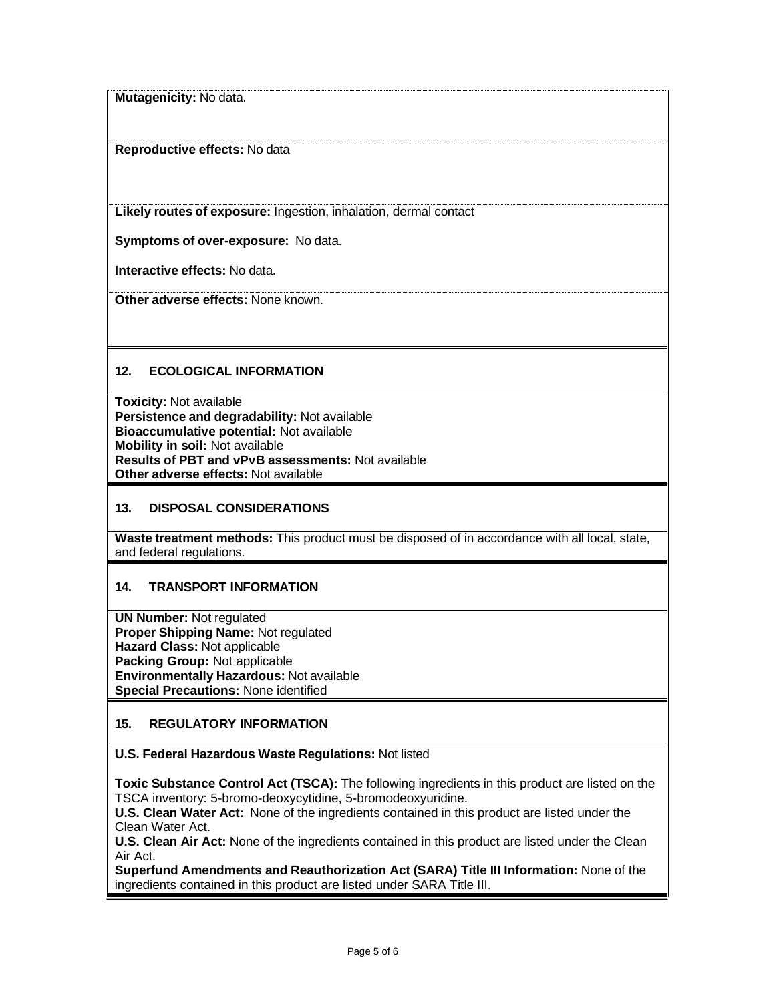**Mutagenicity:** No data.

**Reproductive effects:** No data

**Likely routes of exposure:** Ingestion, inhalation, dermal contact

**Symptoms of over-exposure:** No data.

**Interactive effects:** No data.

**Other adverse effects:** None known.

# **12. ECOLOGICAL INFORMATION**

**Toxicity:** Not available **Persistence and degradability:** Not available **Bioaccumulative potential:** Not available **Mobility in soil:** Not available **Results of PBT and vPvB assessments:** Not available **Other adverse effects:** Not available

#### **13. DISPOSAL CONSIDERATIONS**

**Waste treatment methods:** This product must be disposed of in accordance with all local, state, and federal regulations.

#### **14. TRANSPORT INFORMATION**

**UN Number:** Not regulated **Proper Shipping Name:** Not regulated **Hazard Class:** Not applicable **Packing Group:** Not applicable **Environmentally Hazardous:** Not available **Special Precautions:** None identified

#### **15. REGULATORY INFORMATION**

**U.S. Federal Hazardous Waste Regulations:** Not listed

**Toxic Substance Control Act (TSCA):** The following ingredients in this product are listed on the TSCA inventory: 5-bromo-deoxycytidine, 5-bromodeoxyuridine.

**U.S. Clean Water Act:** None of the ingredients contained in this product are listed under the Clean Water Act.

**U.S. Clean Air Act:** None of the ingredients contained in this product are listed under the Clean Air Act.

**Superfund Amendments and Reauthorization Act (SARA) Title III Information:** None of the ingredients contained in this product are listed under SARA Title III.